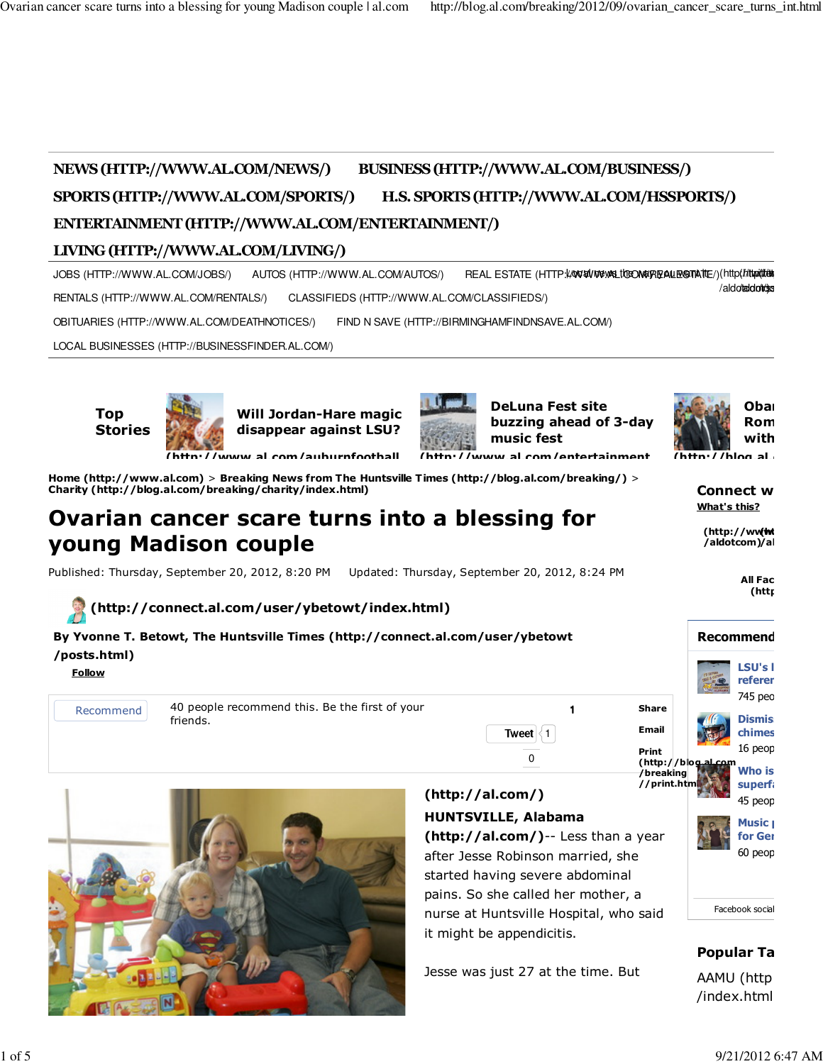# **NEWS (HTTP://WWW.AL.COM/NEWS/) BUSINESS (HTTP://WWW.AL.COM/BUSINESS/) SPORTS (HTTP://WWW.AL.COM/SPORTS/) H.S. SPORTS (HTTP://WWW.AL.COM/HSSPORTS/) ENTERTAINMENT (HTTP://WWW.AL.COM/ENTERTAINMENT/)**

## **LIVING (HTTP://WWW.AL.COM/LIVING/)**

JOBS (HTTP://WWW.AL.COM/JOBS/) AUTOS (HTTP://WWW.AL.COM/AUTOS/) REAL ESTATE (HTTP**://www.wat/toe/mayagalexenate**/)(http///t**trait/din** RENTALS (HTTP://WWW.AL.COM/RENTALS/) CLASSIFIEDS (HTTP://WWW.AL.COM/CLASSIFIEDS/) OBITUARIES (HTTP://WWW.AL.COM/DEATHNOTICES/) FIND N SAVE (HTTP://BIRMINGHAMFINDNSAVE.AL.COM/) LOCAL BUSINESSES (HTTP://BUSINESSFINDER.AL.COM/) /aldot**aldottes** 

**Top Stories**



**Charity (http://blog.al.com/breaking/charity/index.html)**

**young Madison couple**

**Will Jordan-Hare magic disappear against LSU?**

**Ovarian cancer scare turns into a blessing for**

Published: Thursday, September 20, 2012, 8:20 PM Updated: Thursday, September 20, 2012, 8:24 PM

**Home (http://www.al.com)** > **Breaking News from The Huntsville T imes (http://blog.al.com/breaking/)** >

**(http://www.al.com/auburnfootball**



**DeLuna Fest site buzzing ahead of 3-day music fest**



 $(**http://blon al**)$ 

**Connect w What's this?**

**(http://wwf<del>wi</del> /aldotcom) /aldotcom**

**Recommend** 

**All Fac (http://www.al.com/co**



| By Yvonne T. Betowt, The Huntsville Times (http://connect.al.com/user/ybetowt |  |
|-------------------------------------------------------------------------------|--|
| /posts.html)                                                                  |  |

**Follow**

Recommend 40 people recommend this. Be the first of your friends.



### **(http://al.com/) HUNTSVILLE, Alabama**

**Tweet**  $\leq 1$  $\Omega$ 

**(http://al.com/)**-- Less than a year after Jesse Robinson married, she started having severe abdominal pains. So she called her mother, a nurse at Huntsville Hospital, who said it might be appendicitis.

1

Jesse was just 27 at the time. But



### **Popular Ta**

AAMU (http /index.html)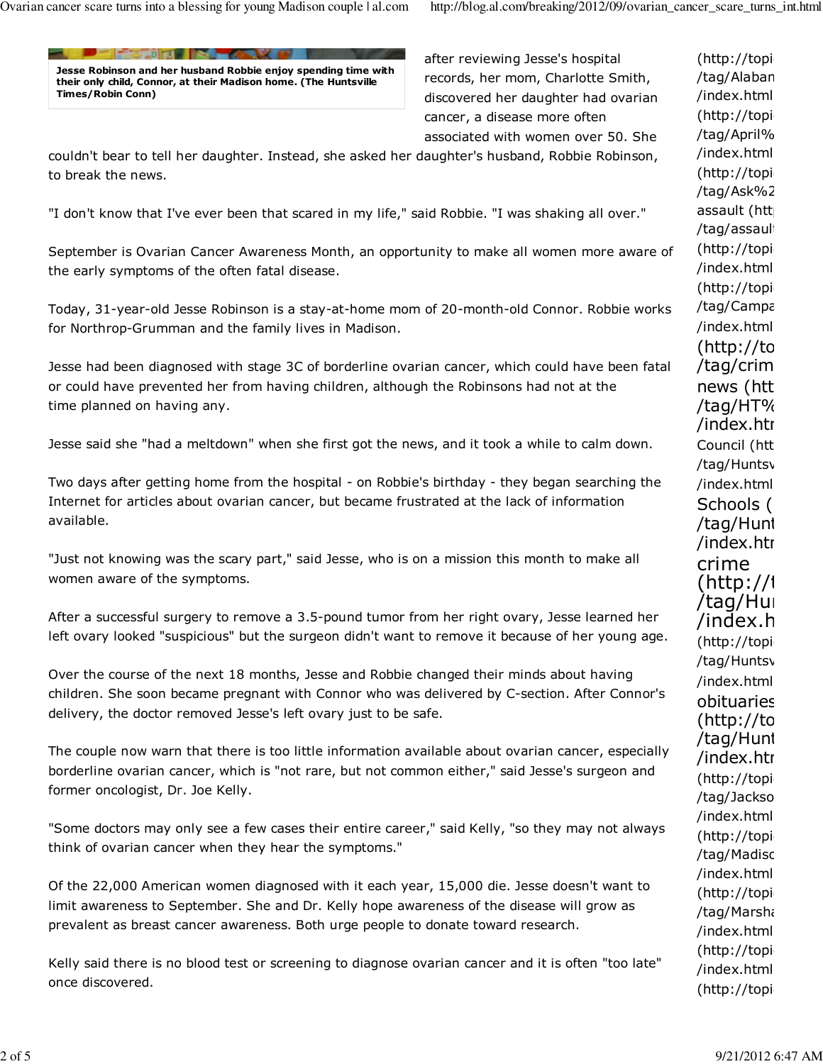**FINE AD ALL INCOME AND A VESTER Jesse Robinson and her husband Robbie enjoy spending time with their only child, Connor, at their Madison home. (The Huntsville Times/Robin Conn)**

after reviewing Jesse's hospital records, her mom, Charlotte Smith, discovered her daughter had ovarian cancer, a disease more often associated with women over 50. She

couldn't bear to tell her daughter. Instead, she asked her daughter's husband, Robbie Robinson, to break the news.

"I don't know that I've ever been that scared in my life," said Robbie. "I was shaking all over."

September is Ovarian Cancer Awareness Month, an opportunity to make all women more aware of the early symptoms of the often fatal disease.

Today, 31-year-old Jesse Robinson is a stay-at-home mom of 20-month-old Connor. Robbie works for Northrop-Grumman and the family lives in Madison.

Jesse had been diagnosed with stage 3C of borderline ovarian cancer, which could have been fatal or could have prevented her from having children, although the Robinsons had not at the time planned on having any.

Jesse said she "had a meltdown" when she first got the news, and it took a while to calm down.

Two days after getting home from the hospital - on Robbie's birthday - they began searching the Internet for articles about ovarian cancer, but became frustrated at the lack of information available.

"Just not knowing was the scary part," said Jesse, who is on a mission this month to make all women aware of the symptoms.

After a successful surgery to remove a 3.5-pound tumor from her right ovary, Jesse learned her left ovary looked "suspicious" but the surgeon didn't want to remove it because of her young age.

Over the course of the next 18 months, Jesse and Robbie changed their minds about having children. She soon became pregnant with Connor who was delivered by C-section. After Connor's delivery, the doctor removed Jesse's left ovary just to be safe.

The couple now warn that there is too little information available about ovarian cancer, especially borderline ovarian cancer, which is "not rare, but not common either," said Jesse's surgeon and former oncologist, Dr. Joe Kelly.

"Some doctors may only see a few cases their entire career," said Kelly, "so they may not always think of ovarian cancer when they hear the symptoms."

Of the 22,000 American women diagnosed with it each year, 15,000 die. Jesse doesn't want to limit awareness to September. She and Dr. Kelly hope awareness of the disease will grow as prevalent as breast cancer awareness. Both urge people to donate toward research.

Kelly said there is no blood test or screening to diagnose ovarian cancer and it is often "too late" once discovered.

 $(http://topi)$ /tag/April% /index.html)  $(http://topi)$ /tag/Ask%2 assault (htt /tag/assault  $(http://topi)$ /index.html)  $(http://topi)$ /tag/Campa /index.html)  $(http://to$ /tag/crim news (htt /tag/HT% /index.htr Council (htt /tag/Huntsv /index.html) Schools ( /tag/Hunt /index.htr crime (http://i /tag/Hun /index.h (http://topi /tag/Huntsv /index.html) obituaries  $(http://to$ /tag/Hunt /index.htr  $(http://topi)$ /tag/Jackso /index.html)  $(http://topi)$ /tag/Madisc /index.html)  $(http://topi)$ /tag/Marsha /index.html) (http://topi /index.html)  $(http://topi)$ 

 $(http://topi)$ /tag/Alaban /index.html)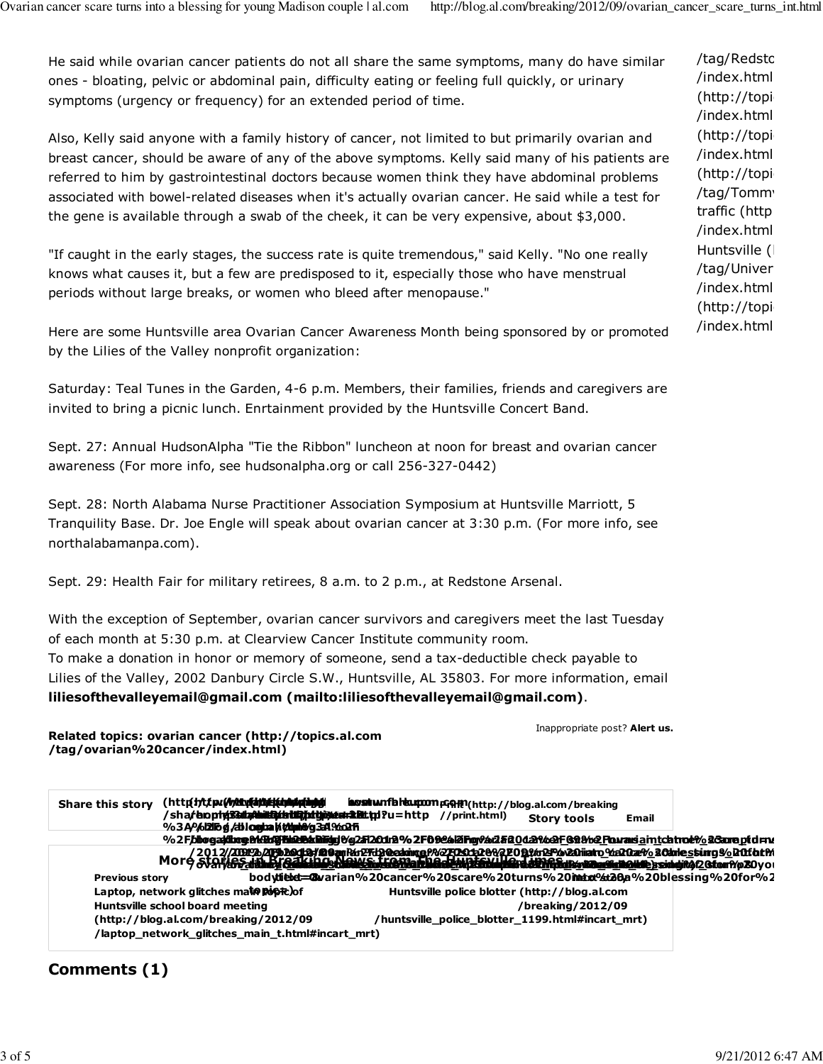He said while ovarian cancer patients do not all share the same symptoms, many do have similar ones - bloating, pelvic or abdominal pain, difficulty eating or feeling full quickly, or urinary symptoms (urgency or frequency) for an extended period of time.

Also, Kelly said anyone with a family history of cancer, not limited to but primarily ovarian and breast cancer, should be aware of any of the above symptoms. Kelly said many of his patients are referred to him by gastrointestinal doctors because women think they have abdominal problems associated with bowel-related diseases when it's actually ovarian cancer. He said while a test for the gene is available through a swab of the cheek, it can be very expensive, about \$3,000.

"If caught in the early stages, the success rate is quite tremendous," said Kelly. "No one really knows what causes it, but a few are predisposed to it, especially those who have menstrual periods without large breaks, or women who bleed after menopause."

Here are some Huntsville area Ovarian Cancer Awareness Month being sponsored by or promoted by the Lilies of the Valley nonprofit organization:

Saturday: Teal Tunes in the Garden, 4-6 p.m. Members, their families, friends and caregivers are invited to bring a picnic lunch. Enrtainment provided by the Huntsville Concert Band.

Sept. 27: Annual HudsonAlpha "Tie the Ribbon" luncheon at noon for breast and ovarian cancer awareness (For more info, see hudsonalpha.org or call 256-327-0442)

Sept. 28: North Alabama Nurse Practitioner Association Symposium at Huntsville Marriott, 5 Tranquility Base. Dr. Joe Engle will speak about ovarian cancer at 3:30 p.m. (For more info, see northalabamanpa.com).

Sept. 29: Health Fair for military retirees, 8 a.m. to 2 p.m., at Redstone Arsenal.

With the exception of September, ovarian cancer survivors and caregivers meet the last Tuesday of each month at 5:30 p.m. at Clearview Cancer Institute community room. To make a donation in honor or memory of someone, send a tax-deductible check payable to Lilies of the Valley, 2002 Danbury Circle S.W., Huntsville, AL 35803. For more information, email **liliesofthevalleyemail@gmail.com (mailto:liliesofthevalleyemail@gmail.com)**.

**Related topics: ovarian cancer (http://topics.al.com /tag/ovarian%20cancer/index.html)**

Inappropriate post? **Alert us.**

**Share this story (http://www.facebook.com (http://twitter.com (http://www.reddit.com (http://digg.com /sha/bophp?Guba/ubili@u %3A%2F** %2F**bbogaidbog&k9dGFbiQB&Biriyi**&g2f120drB%2Fb&e6l2iFig%ai2fi8QdaX&<del>QF</del>&8&%2<u>F</u>ourasia\_intchtro&%2&areptd=ru **// bop<del>hy?statu/thittp://att</del>p:// //blog.al.com /2012/09 /ovarian<u>va</u>ddamis Germannis hanne menning menering van de van de van de van de van de van de van de van de van de //seate/duitfe/intife/intife%** *g ,* **di logba k tupit /2012/09 /ovv<sub>a</sub>ddank<u>a</u> Qanashiya kanka musik ya musik kata ya mamma mamma ya kata mamma mamma mamma mamma ma /submit?phase=2& urlaha i**yi içilini **%2Fb20d&#@@@Fkr2FbReaking@%2FOx152@%2FOR%BP&20iiiato\_%20are\_sCanle\_sting%\_R0fbt**M **title<u>s: Ocarian 2</u>0.2002; hot titles the over the orient of the state of the orient of the second the concept of our Pro20you bodytielet=&varian%20cancer%20scare%20turns%20intox%20hessing%20for%2** Laptop, network glitches ma**to popt**e)of **(http://www.stumbleupon.com (http://www.fark.com Print (http://blog.al.com/breaking |distBihattip?uEai=2.Btt.tp:? //blog.al.com /2012/09 <u>4 Qabati iye basil ar ishlat ka bashka a shekara a shkilin da kosara na malike e sini gita 2 Gitor A o 20</u> /cgi/farkit.pl?u=http %3A%2F //print.html) Story tools Email** p=Out-Dupter 2012/2019 an Parist Property 20 and 2012 Apple 20 to 20 and 20 and 20 and 20 and 20 and 20 and 20<br>More stories in Breaking of Madams **and Apple 2012 and 20 and 20 and 20 and 20 and 20 and 20 and 20 and 20 and Previous story Huntsville school board meeting (http://blog.al.com/breaking/2012/09 /laptop\_network\_glitches\_main\_t.html#incart\_mrt) Huntsville police blotter (http://blog.al.com /breaking/2012/09 /huntsville\_police\_blotter\_1199.html#incart\_mrt)**

### **Comments (1)**

/tag/Redstc /index.html)  $(http://topi)$ /index.html)  $(http://topi)$ /index.html)  $(http://topi)$ /tag/Tomm traffic (http /index.html) Huntsville ( /tag/Univer /index.html)  $(http://topi)$ /index.html)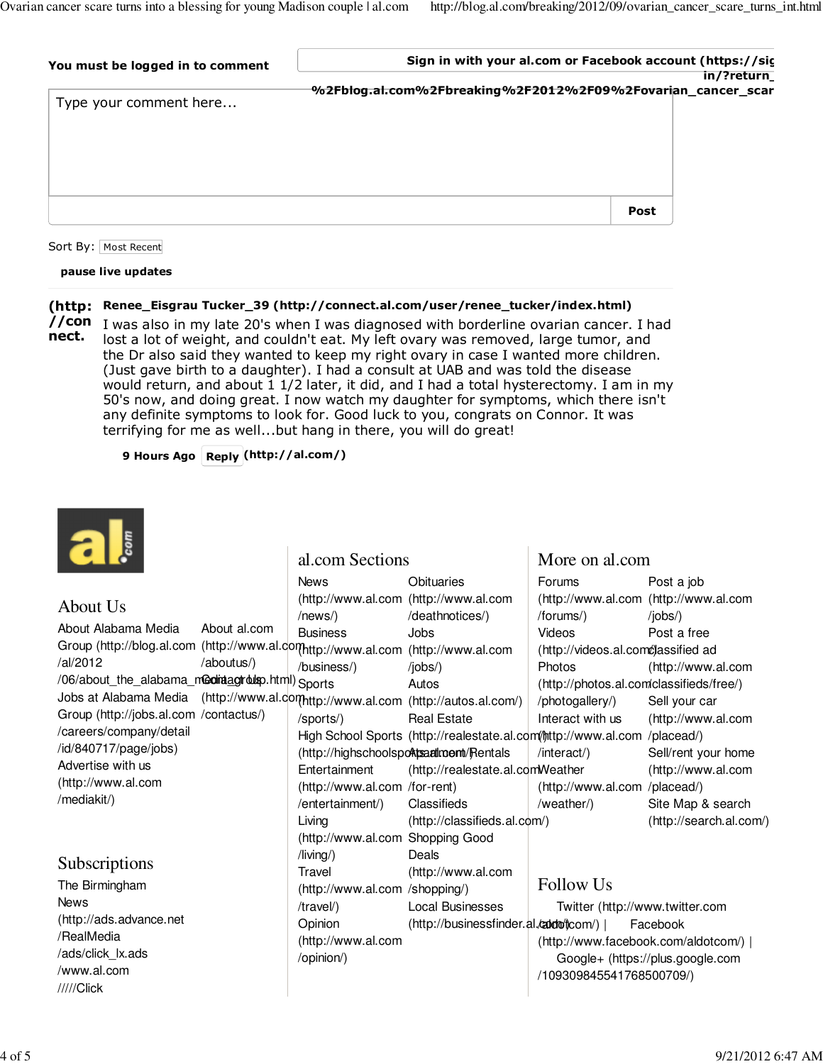| You must be logged in to comment | Sign in with your al.com or Facebook account (https://sig   | in/?return |
|----------------------------------|-------------------------------------------------------------|------------|
| Type your comment here           | %2Fblog.al.com%2Fbreaking%2F2012%2F09%2Fovarian_cancer_scar |            |
|                                  |                                                             |            |
|                                  |                                                             |            |
|                                  | Post                                                        |            |

#### Sort By: | Most Recent

#### **pause live updates**

### **Renee\_Eisgrau Tucker\_39 (http://connect.al.com/user/renee\_tucker/index.html) (http:**

**//con** I was also in my late 20's when I was diagnosed with borderline ovarian cancer. I had lost a lot of weight, and couldn't eat. My left ovary was removed, large tumor, and the Dr also said they wanted to keep my right ovary in case I wanted more children. (Just gave birth to a daughter). I had a consult at UAB and was told the disease would return, and about 1 1/2 later, it did, and I had a total hysterectomy. I am in my 50's now, and doing great. I now watch my daughter for symptoms, which there isn't any definite symptoms to look for. Good luck to you, congrats on Connor. It was terrifying for me as well...but hang in there, you will do great! **nect.**

**9 Hours Ago Reply (http://al.com/)**



#### About Alabama Media Group (http://blog.al.com (http://www.al.com (http://www.al.com (http://www.al.com /al/2012 /06/about\_the\_alabama\_media\_group.html) Contact Us Sports Jobs at Alabama Media (http://www.al.com (http://www.al.com (http://autos.al.com/) Group (http://jobs.al.com /contactus/) /careers/company/detail /id/840717/page/jobs) Advertise with us (http://www.al.com /mediakit/) About al.com /aboutus/) The Birmingham **News** (http://ads.advance.net /RealMedia /ads/click\_lx.ads /www.al.com About Us Subscriptions **News** (http://www.al.com (http://www.al.com /news/) Business /business/) /sports/) High School Sports (http://realestate.al.com/mttp://www.al.com /placead/) (http://highschoolsports.ad.com/Rentals **Entertainment** (http://www.al.com /for-rent) /entertainment/) Living (http://www.al.com Shopping Good /living/) **Travel** (http://www.al.com /shopping/) /travel/) Opinion (http://www.al.com /opinion/) **Obituaries** /deathnotices/) Jobs /jobs/) Autos Real Estate (http://realestate.al.com Weather **Classifieds**  $(http://classifieds.al.c\phi m')$ Deals (http://www.al.com Local Businesses (http://businessfinder.al.*caldo*fcom/) | Facebook al.com Sections Forums (http://www.al.com (http://www.al.com /forums/) Videos (http://videos.al.comc)assified ad Photos (http://photos.al.com/classifieds/free/) /photogallery/) Interact with us /interact/) (http://www.al.com /placead/) /weather/) Post a job /jobs/) Post a free (http://www.al.com Sell your car (http://www.al.com Sell/rent your home (http://www.al.com Site Map & search (http://search.al.com/) More on al.com Follow Us Twitter (http://www.twitter.com (http://www.facebook.com/aldotcom/) | Google+ (https://plus.google.com /109309845541768500709/)

/////Click